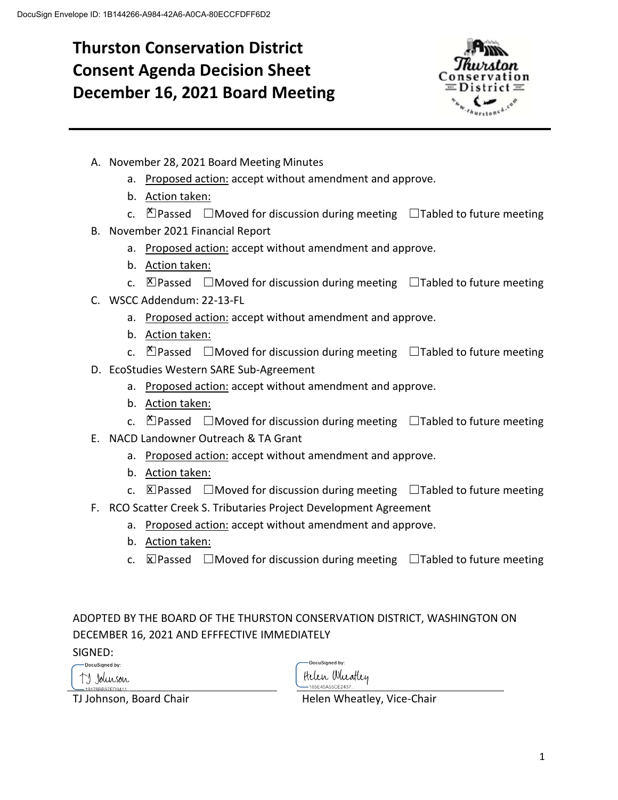# **Thurston Conservation District Consent Agenda Decision Sheet December 16, 2021 Board Meeting**



- A. November 28, 2021 Board Meeting Minutes
	- a. Proposed action: accept without amendment and approve.
	- b. Action taken:
	- c.  $\mathbb{Z}$  Passed  $\Box$  Moved for discussion during meeting  $\Box$  Tabled to future meeting
- B. November 2021 Financial Report
	- a. Proposed action: accept without amendment and approve.
	- b. Action taken:
	- c.  $\Box$  Passed  $\Box$  Moved for discussion during meeting  $\Box$  Tabled to future meeting
- C. WSCC Addendum: 22-13-FL
	- a. Proposed action: accept without amendment and approve.
	- b. Action taken:
	- c.  $\breve{\triangle}$  Passed  $\Box$  Moved for discussion during meeting  $\Box$  Tabled to future meeting
- D. EcoStudies Western SARE Sub-Agreement
	- a. Proposed action: accept without amendment and approve.
	- b. Action taken:
	- c.  $\mathbb{X}$  Passed  $\Box$  Moved for discussion during meeting  $\Box$  Tabled to future meeting
- E. NACD Landowner Outreach & TA Grant
	- a. Proposed action: accept without amendment and approve.
	- b. Action taken:
	- c.  $\boxtimes$  Passed  $\Box$  Moved for discussion during meeting  $\Box$  Tabled to future meeting
- F. RCO Scatter Creek S. Tributaries Project Development Agreement
	- a. Proposed action: accept without amendment and approve.
	- b. Action taken:
	- c.  $\boxtimes$  Passed  $\Box$  Moved for discussion during meeting  $\Box$  Tabled to future meeting

### ADOPTED BY THE BOARD OF THE THURSTON CONSERVATION DISTRICT, WASHINGTON ON DECEMBER 16, 2021 AND EFFFECTIVE IMMEDIATELY

SIGNED:

DocuSigned by: TJ Johnson

-DocuSianed by: Helen Wheatley 165F45A55CF2437

TJ Johnson, Board Chair The Muslim Helen Wheatley, Vice-Chair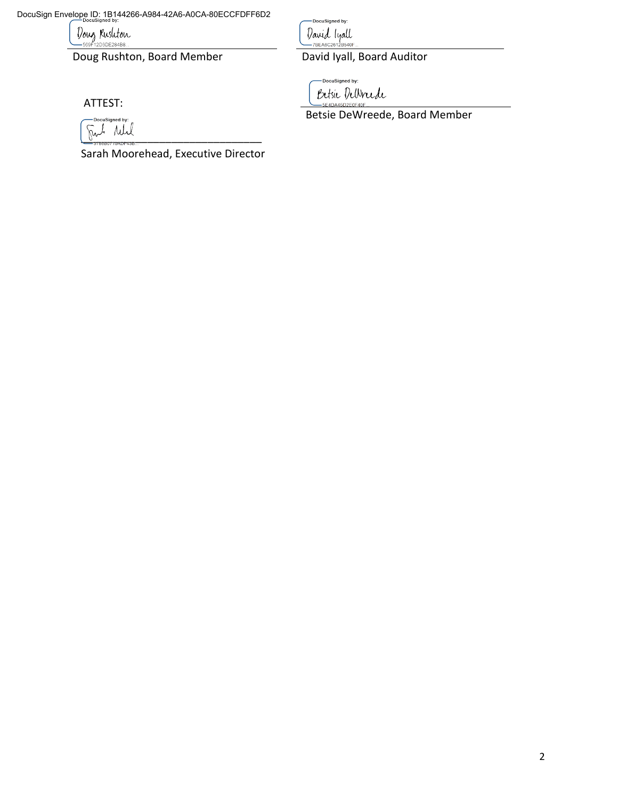DocuSign Envelope ID: 1B144266-A984-42A6-A0CA-80ECCFDFF6D2

Doug Rusliton

Doug Rushton, Board Member David Iyall, Board Auditor

DocuSigned by: David lyall<br>-- 7BEABC2012B540F.

-DocuSigned by: Betsie DeWrede 5E4DA45D2E0F40F

Betsie DeWreede, Board Member

DocuSigned by:

ATTEST:

\_\_\_\_\_\_\_\_\_\_\_\_\_\_\_\_\_\_\_\_\_\_\_\_\_\_\_\_\_\_

Sarah Moorehead, Executive Director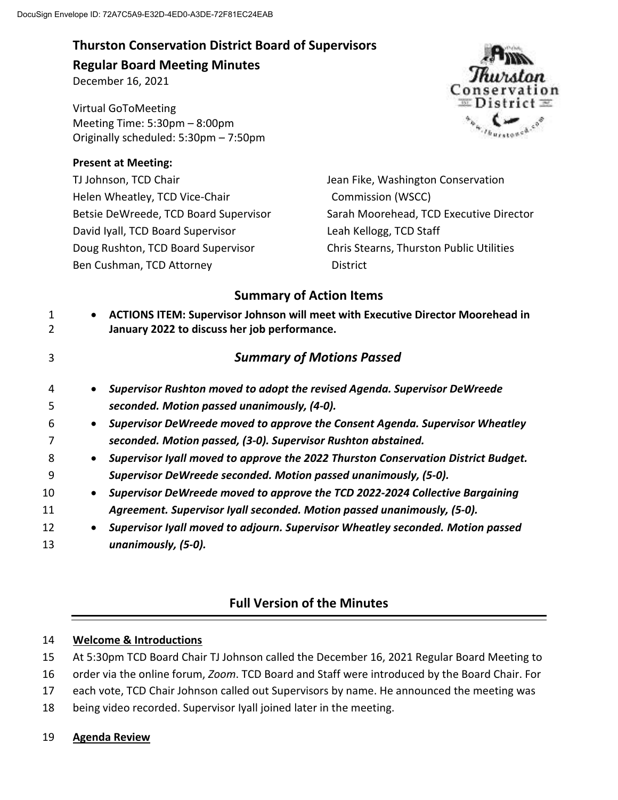## **Thurston Conservation District Board of Supervisors Regular Board Meeting Minutes**

December 16, 2021

Virtual GoToMeeting Meeting Time: 5:30pm – 8:00pm Originally scheduled: 5:30pm – 7:50pm

### **Present at Meeting:**

TJ Johnson, TCD Chair Helen Wheatley, TCD Vice-Chair Betsie DeWreede, TCD Board Supervisor David Iyall, TCD Board Supervisor Doug Rushton, TCD Board Supervisor Ben Cushman, TCD Attorney



Jean Fike, Washington Conservation Commission (WSCC) Sarah Moorehead, TCD Executive Director Leah Kellogg, TCD Staff Chris Stearns, Thurston Public Utilities **District** 

### **Summary of Action Items**

 **ACTIONS ITEM: Supervisor Johnson will meet with Executive Director Moorehead in January 2022 to discuss her job performance.**  *Summary of Motions Passed Supervisor Rushton moved to adopt the revised Agenda. Supervisor DeWreede seconded. Motion passed unanimously, (4-0). Supervisor DeWreede moved to approve the Consent Agenda. Supervisor Wheatley seconded. Motion passed, (3-0). Supervisor Rushton abstained. Supervisor Iyall moved to approve the 2022 Thurston Conservation District Budget. Supervisor DeWreede seconded. Motion passed unanimously, (5-0). Supervisor DeWreede moved to approve the TCD 2022-2024 Collective Bargaining Agreement. Supervisor Iyall seconded. Motion passed unanimously, (5-0). Supervisor Iyall moved to adjourn. Supervisor Wheatley seconded. Motion passed unanimously, (5-0).* 

# **Full Version of the Minutes**

### 14 **Welcome & Introductions**

- 15 At 5:30pm TCD Board Chair TJ Johnson called the December 16, 2021 Regular Board Meeting to
- 16 order via the online forum, *Zoom*. TCD Board and Staff were introduced by the Board Chair. For
- 17 each vote, TCD Chair Johnson called out Supervisors by name. He announced the meeting was
- 18 being video recorded. Supervisor Iyall joined later in the meeting.

### 19 **Agenda Review**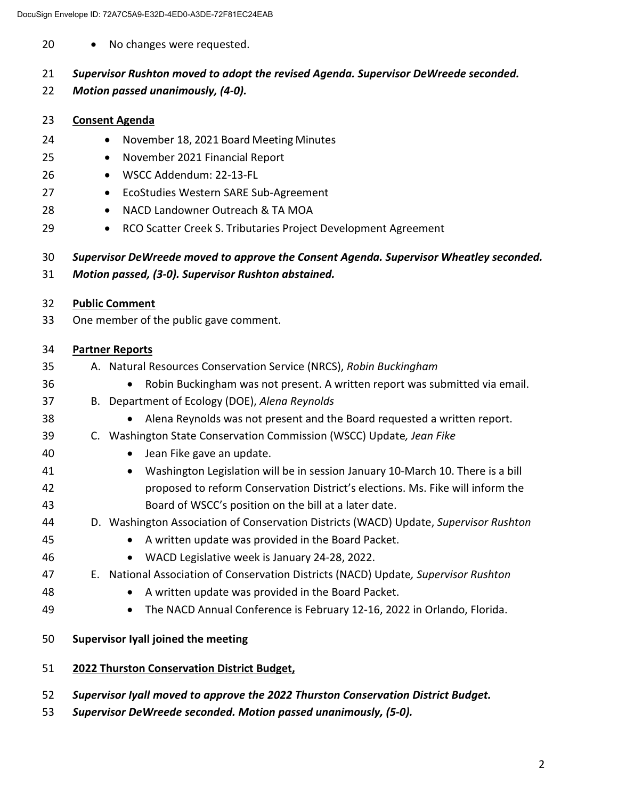20 • No changes were requested.

### 21 *Supervisor Rushton moved to adopt the revised Agenda. Supervisor DeWreede seconded.*

22 *Motion passed unanimously, (4-0).* 

### 23 **Consent Agenda**

- 24 November 18, 2021 Board Meeting Minutes
- 25 November 2021 Financial Report
- 26 WSCC Addendum: 22-13-FL
- 27 **•** EcoStudies Western SARE Sub-Agreement
- 28 NACD Landowner Outreach & TA MOA
- 29 RCO Scatter Creek S. Tributaries Project Development Agreement

### 30 *Supervisor DeWreede moved to approve the Consent Agenda. Supervisor Wheatley seconded.*  31 *Motion passed, (3-0). Supervisor Rushton abstained.*

32 **Public Comment**  33 One member of the public gave comment.

### 34 **Partner Reports**

- 35 A. Natural Resources Conservation Service (NRCS), *Robin Buckingham* 36 Robin Buckingham was not present. A written report was submitted via email. 37 B. Department of Ecology (DOE), *Alena Reynolds* 38 Alena Reynolds was not present and the Board requested a written report. 39 C. Washington State Conservation Commission (WSCC) Update*, Jean Fike* 40 Jean Fike gave an update. 41 Washington Legislation will be in session January 10-March 10. There is a bill 42 proposed to reform Conservation District's elections. Ms. Fike will inform the
- 43 Board of WSCC's position on the bill at a later date. 44 D. Washington Association of Conservation Districts (WACD) Update, *Supervisor Rushton*
- 45 A written update was provided in the Board Packet.
- 46 WACD Legislative week is January 24-28, 2022.

### 47 E. National Association of Conservation Districts (NACD) Update*, Supervisor Rushton*

- 48 A written update was provided in the Board Packet.
- 49 The NACD Annual Conference is February 12-16, 2022 in Orlando, Florida.
- 50 **Supervisor Iyall joined the meeting**
- 51 **2022 Thurston Conservation District Budget,**
- 52 *Supervisor Iyall moved to approve the 2022 Thurston Conservation District Budget.*
- 53 *Supervisor DeWreede seconded. Motion passed unanimously, (5-0).*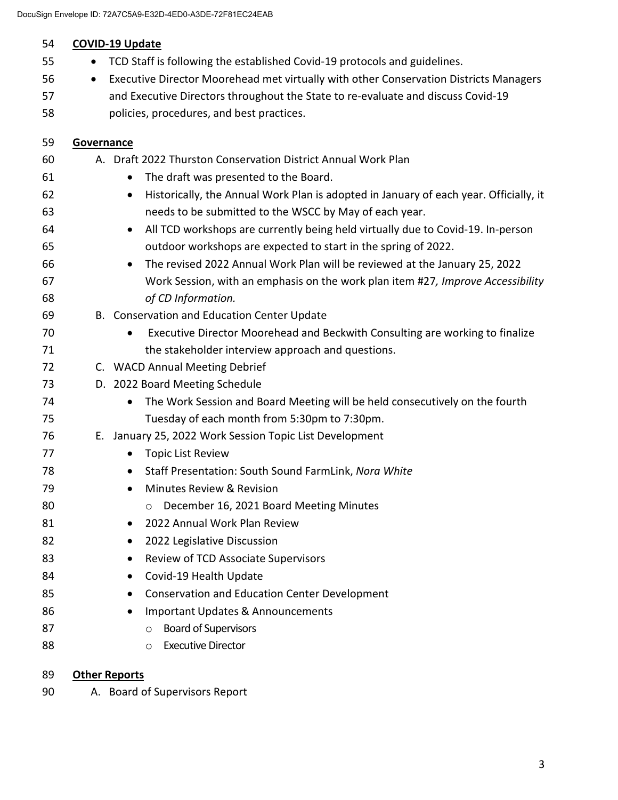| 54 | <b>COVID-19 Update</b>                                                                             |
|----|----------------------------------------------------------------------------------------------------|
| 55 | TCD Staff is following the established Covid-19 protocols and guidelines.                          |
| 56 | Executive Director Moorehead met virtually with other Conservation Districts Managers<br>$\bullet$ |
| 57 | and Executive Directors throughout the State to re-evaluate and discuss Covid-19                   |
| 58 | policies, procedures, and best practices.                                                          |
| 59 | Governance                                                                                         |
| 60 | A. Draft 2022 Thurston Conservation District Annual Work Plan                                      |
| 61 | The draft was presented to the Board.<br>$\bullet$                                                 |
| 62 | Historically, the Annual Work Plan is adopted in January of each year. Officially, it<br>$\bullet$ |
| 63 | needs to be submitted to the WSCC by May of each year.                                             |
| 64 | All TCD workshops are currently being held virtually due to Covid-19. In-person<br>$\bullet$       |
| 65 | outdoor workshops are expected to start in the spring of 2022.                                     |
| 66 | The revised 2022 Annual Work Plan will be reviewed at the January 25, 2022<br>$\bullet$            |
| 67 | Work Session, with an emphasis on the work plan item #27, Improve Accessibility                    |
| 68 | of CD Information.                                                                                 |
| 69 | B. Conservation and Education Center Update                                                        |
| 70 | Executive Director Moorehead and Beckwith Consulting are working to finalize                       |
| 71 | the stakeholder interview approach and questions.                                                  |
| 72 | C. WACD Annual Meeting Debrief                                                                     |
| 73 | D. 2022 Board Meeting Schedule                                                                     |
| 74 | The Work Session and Board Meeting will be held consecutively on the fourth<br>$\bullet$           |
| 75 | Tuesday of each month from 5:30pm to 7:30pm.                                                       |
| 76 | E. January 25, 2022 Work Session Topic List Development                                            |
| 77 | <b>Topic List Review</b><br>$\bullet$                                                              |
| 78 | Staff Presentation: South Sound FarmLink, Nora White                                               |
| 79 | Minutes Review & Revision                                                                          |
| 80 | December 16, 2021 Board Meeting Minutes<br>O                                                       |
| 81 | 2022 Annual Work Plan Review                                                                       |
| 82 | 2022 Legislative Discussion                                                                        |
| 83 | <b>Review of TCD Associate Supervisors</b>                                                         |
| 84 | Covid-19 Health Update                                                                             |
| 85 | <b>Conservation and Education Center Development</b>                                               |
| 86 | <b>Important Updates &amp; Announcements</b>                                                       |
| 87 | <b>Board of Supervisors</b><br>$\circ$                                                             |
| 88 | <b>Executive Director</b><br>$\circ$                                                               |
|    |                                                                                                    |

### **Other Reports**

90 A. Board of Supervisors Report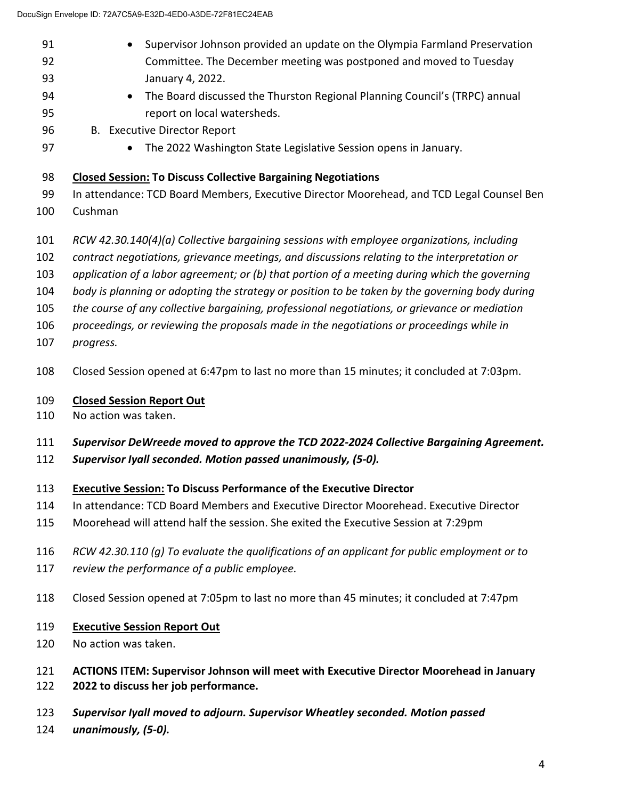- 91 Supervisor Johnson provided an update on the Olympia Farmland Preservation 92 Committee. The December meeting was postponed and moved to Tuesday 93 January 4, 2022.
- The Board discussed the Thurston Regional Planning Council's (TRPC) annual 95 report on local watersheds.
- 96 B. Executive Director Report
	-

**•** The 2022 Washington State Legislative Session opens in January.

### **Closed Session: To Discuss Collective Bargaining Negotiations**

- 99 In attendance: TCD Board Members, Executive Director Moorehead, and TCD Legal Counsel Ben
- 100 Cushman
- *RCW 42.30.140(4)(a) Collective bargaining sessions with employee organizations, including*
- *contract negotiations, grievance meetings, and discussions relating to the interpretation or*
- *application of a labor agreement; or (b) that portion of a meeting during which the governing*
- *body is planning or adopting the strategy or position to be taken by the governing body during*
- *the course of any collective bargaining, professional negotiations, or grievance or mediation*
- *proceedings, or reviewing the proposals made in the negotiations or proceedings while in*
- *progress.*
- 108 Closed Session opened at 6:47pm to last no more than 15 minutes; it concluded at 7:03pm.

### **Closed Session Report Out**

110 No action was taken.

### *Supervisor DeWreede moved to approve the TCD 2022-2024 Collective Bargaining Agreement.*

*Supervisor Iyall seconded. Motion passed unanimously, (5-0).* 

### **Executive Session: To Discuss Performance of the Executive Director**

- 114 In attendance: TCD Board Members and Executive Director Moorehead. Executive Director
- 115 Moorehead will attend half the session. She exited the Executive Session at 7:29pm
- *RCW 42.30.110 (g) To evaluate the qualifications of an applicant for public employment or to*
- *review the performance of a public employee.*
- 118 Closed Session opened at 7:05pm to last no more than 45 minutes; it concluded at 7:47pm
- **Executive Session Report Out**
- 120 No action was taken.

### **ACTIONS ITEM: Supervisor Johnson will meet with Executive Director Moorehead in January 2022 to discuss her job performance.**

- *Supervisor Iyall moved to adjourn. Supervisor Wheatley seconded. Motion passed*
- *unanimously, (5-0).*